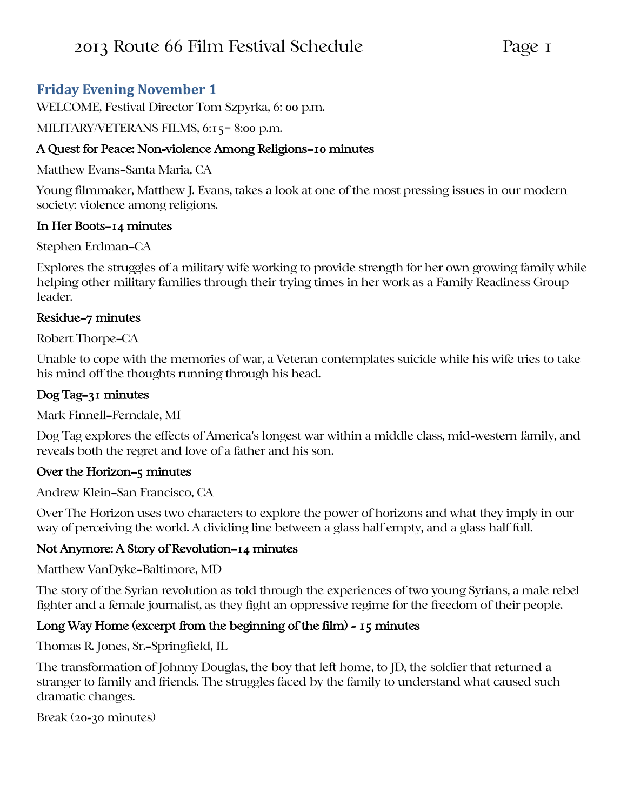# **Friday Evening November 1**

WELCOME, Festival Director Tom Szpyrka, 6: 00 p.m.

### MILITARY/VETERANS FILMS, 6:15– 8:00 p.m.

### A Quest for Peace: Non-violence Among Religions—10 minutes

Matthew Evans—Santa Maria, CA

Young filmmaker, Matthew J. Evans, takes a look at one of the most pressing issues in our modern society: violence among religions.

### In Her Boots—14 minutes

Stephen Erdman—CA

Explores the struggles of a military wife working to provide strength for her own growing family while helping other military families through their trying times in her work as a Family Readiness Group leader.

### Residue—7 minutes

Robert Thorpe—CA

Unable to cope with the memories of war, a Veteran contemplates suicide while his wife tries to take his mind off the thoughts running through his head.

# Dog Tag—31 minutes

Mark Finnell—Ferndale, MI

Dog Tag explores the effects of America's longest war within a middle class, mid-western family, and reveals both the regret and love of a father and his son.

#### Over the Horizon—5 minutes

Andrew Klein—San Francisco, CA

Over The Horizon uses two characters to explore the power of horizons and what they imply in our way of perceiving the world. A dividing line between a glass half empty, and a glass half full.

## Not Anymore: A Story of Revolution—14 minutes

Matthew VanDyke—Baltimore, MD

The story of the Syrian revolution as told through the experiences of two young Syrians, a male rebel fighter and a female journalist, as they fight an oppressive regime for the freedom of their people.

## Long Way Home (excerpt from the beginning of the film) - 15 minutes

Thomas R. Jones, Sr.—Springfield, IL

The transformation of Johnny Douglas, the boy that left home, to JD, the soldier that returned a stranger to family and friends. The struggles faced by the family to understand what caused such dramatic changes.

Break (20-30 minutes)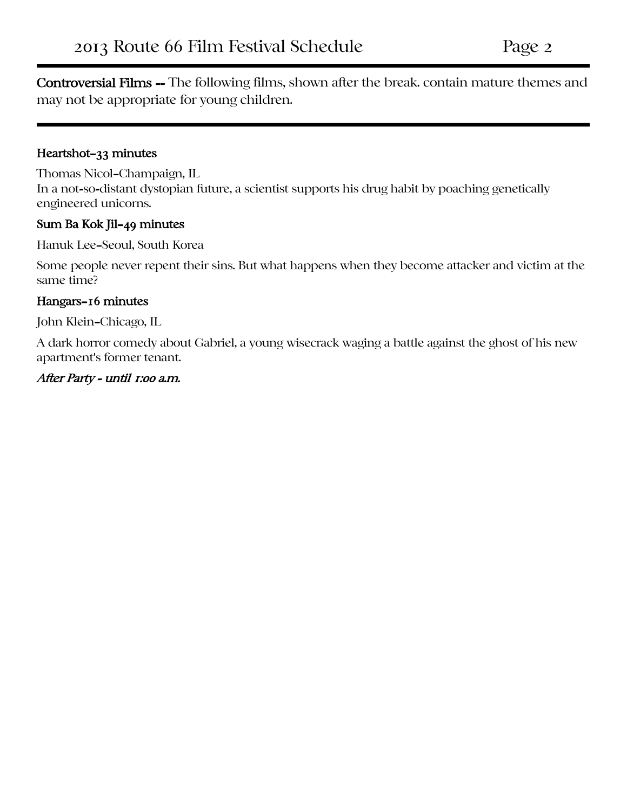Controversial Films -- The following films, shown after the break. contain mature themes and may not be appropriate for young children.

#### Heartshot—33 minutes

Thomas Nicol—Champaign, IL In a not-so-distant dystopian future, a scientist supports his drug habit by poaching genetically engineered unicorns.

#### Sum Ba Kok Jil—49 minutes

Hanuk Lee—Seoul, South Korea

Some people never repent their sins. But what happens when they become attacker and victim at the same time?

#### Hangars—16 minutes

John Klein—Chicago, IL

A dark horror comedy about Gabriel, a young wisecrack waging a battle against the ghost of his new apartment's former tenant.

#### After Party - until 1:00 a.m.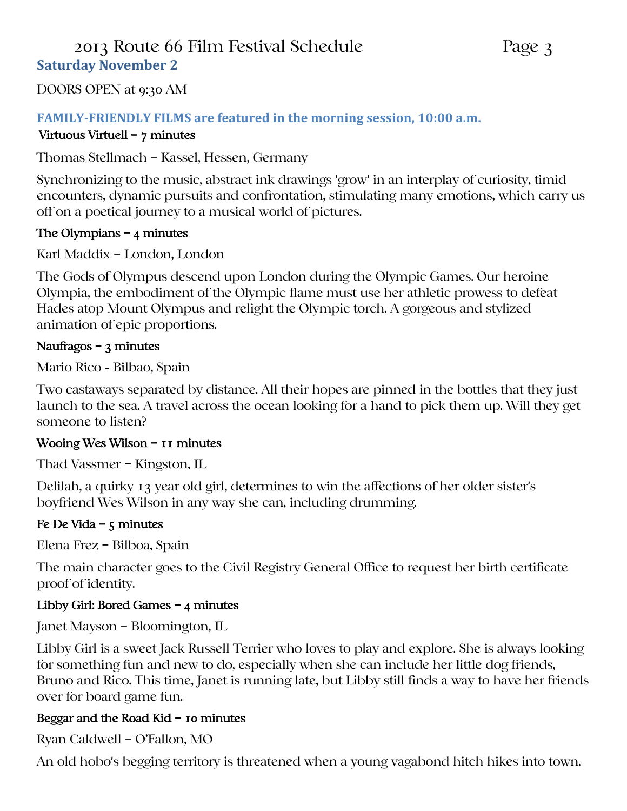# 2013 Route 66 Film Festival Schedule Page 3 **Saturday November 2**

DOORS OPEN at 9:30 AM

## **FAMILY-FRIENDLY FILMS are featured in the morning session, 10:00 a.m.**

#### Virtuous Virtuell – 7 minutes

Thomas Stellmach – Kassel, Hessen, Germany

Synchronizing to the music, abstract ink drawings 'grow' in an interplay of curiosity, timid encounters, dynamic pursuits and confrontation, stimulating many emotions, which carry us off on a poetical journey to a musical world of pictures.

### The Olympians – 4 minutes

Karl Maddix – London, London

The Gods of Olympus descend upon London during the Olympic Games. Our heroine Olympia, the embodiment of the Olympic flame must use her athletic prowess to defeat Hades atop Mount Olympus and relight the Olympic torch. A gorgeous and stylized animation of epic proportions.

### Naufragos – 3 minutes

Mario Rico - Bilbao, Spain

Two castaways separated by distance. All their hopes are pinned in the bottles that they just launch to the sea. A travel across the ocean looking for a hand to pick them up. Will they get someone to listen?

#### Wooing Wes Wilson - 11 minutes

Thad Vassmer – Kingston, IL

Delilah, a quirky 13 year old girl, determines to win the affections of her older sister's boyfriend Wes Wilson in any way she can, including drumming.

## Fe De Vida –  $5$  minutes

Elena Frez – Bilboa, Spain

The main character goes to the Civil Registry General Office to request her birth certificate proof of identity.

## Libby Girl: Bored Games – 4 minutes

Janet Mayson – Bloomington, IL

Libby Girl is a sweet Jack Russell Terrier who loves to play and explore. She is always looking for something fun and new to do, especially when she can include her little dog friends, Bruno and Rico. This time, Janet is running late, but Libby still finds a way to have her friends over for board game fun.

## Beggar and the Road Kid – 10 minutes

Ryan Caldwell – O'Fallon, MO

An old hobo's begging territory is threatened when a young vagabond hitch hikes into town.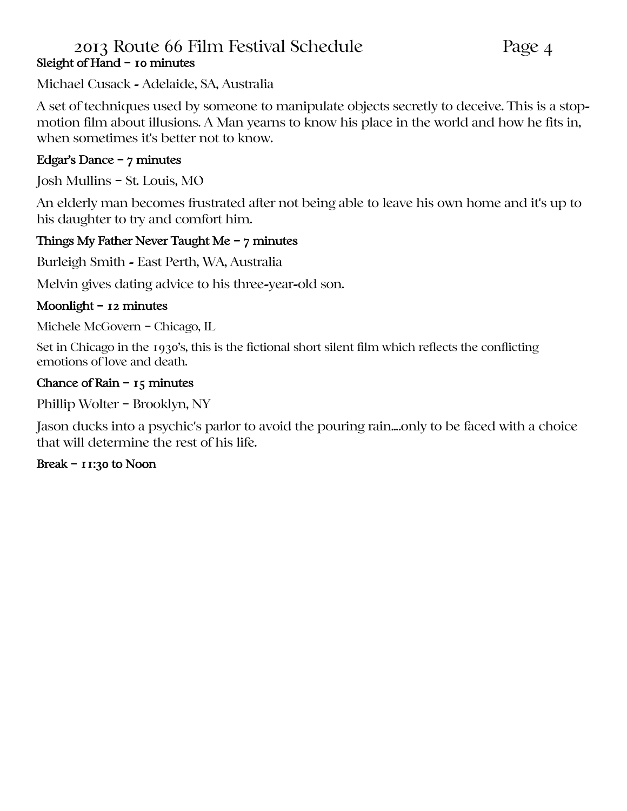# 2013 Route 66 Film Festival Schedule Page 4 Sleight of Hand – 10 minutes

Michael Cusack - Adelaide, SA, Australia

A set of techniques used by someone to manipulate objects secretly to deceive. This is a stopmotion film about illusions. A Man yearns to know his place in the world and how he fits in, when sometimes it's better not to know.

## Edgar's Dance – 7 minutes

Josh Mullins – St. Louis, MO

An elderly man becomes frustrated after not being able to leave his own home and it's up to his daughter to try and comfort him.

### Things My Father Never Taught Me – 7 minutes

Burleigh Smith - East Perth, WA, Australia

Melvin gives dating advice to his three-year-old son.

### Moonlight – 12 minutes

Michele McGovern – Chicago, IL

Set in Chicago in the 1930's, this is the fictional short silent film which reflects the conflicting emotions of love and death.

### Chance of Rain – 15 minutes

Phillip Wolter – Brooklyn, NY

Jason ducks into a psychic's parlor to avoid the pouring rain....only to be faced with a choice that will determine the rest of his life.

## Break – 11:30 to Noon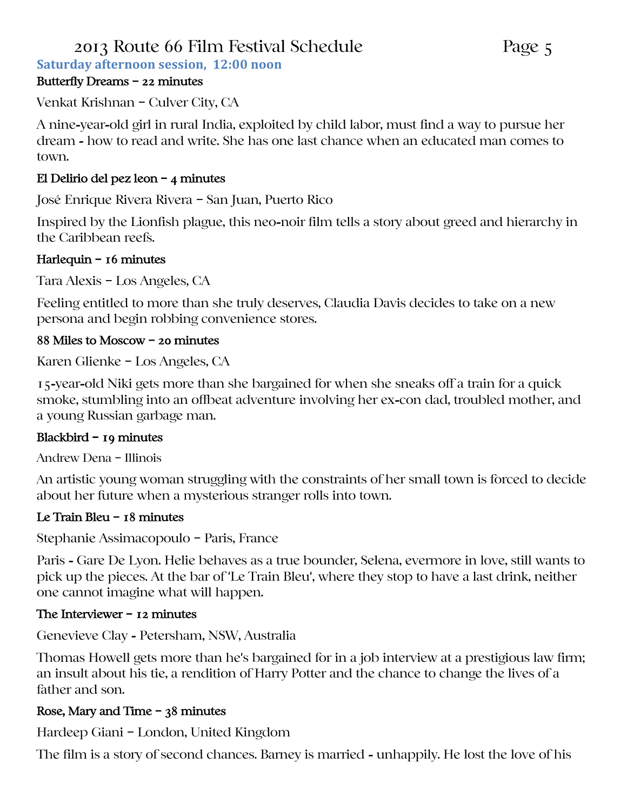# 2013 Route 66 Film Festival Schedule Page 5

**Saturday afternoon session, 12:00 noon**

# Butterfly Dreams – 22 minutes

Venkat Krishnan – Culver City, CA

A nine-year-old girl in rural India, exploited by child labor, must find a way to pursue her dream - how to read and write. She has one last chance when an educated man comes to town.

# El Delirio del pez leon – 4 minutes

José Enrique Rivera Rivera – San Juan, Puerto Rico

Inspired by the Lionfish plague, this neo-noir film tells a story about greed and hierarchy in the Caribbean reefs.

# Harlequin – 16 minutes

Tara Alexis – Los Angeles, CA

Feeling entitled to more than she truly deserves, Claudia Davis decides to take on a new persona and begin robbing convenience stores.

# 88 Miles to Moscow – 20 minutes

Karen Glienke – Los Angeles, CA

15-year-old Niki gets more than she bargained for when she sneaks off a train for a quick smoke, stumbling into an offbeat adventure involving her ex-con dad, troubled mother, and a young Russian garbage man.

# Blackbird – 19 minutes

Andrew Dena – Illinois

An artistic young woman struggling with the constraints of her small town is forced to decide about her future when a mysterious stranger rolls into town.

# Le Train Bleu – 18 minutes

Stephanie Assimacopoulo – Paris, France

Paris - Gare De Lyon. Helie behaves as a true bounder, Selena, evermore in love, still wants to pick up the pieces. At the bar of 'Le Train Bleu', where they stop to have a last drink, neither one cannot imagine what will happen.

# The Interviewer – 12 minutes

Genevieve Clay - Petersham, NSW, Australia

Thomas Howell gets more than he's bargained for in a job interview at a prestigious law firm; an insult about his tie, a rendition of Harry Potter and the chance to change the lives of a father and son.

# Rose, Mary and Time – 38 minutes

Hardeep Giani – London, United Kingdom

The film is a story of second chances. Barney is married - unhappily. He lost the love of his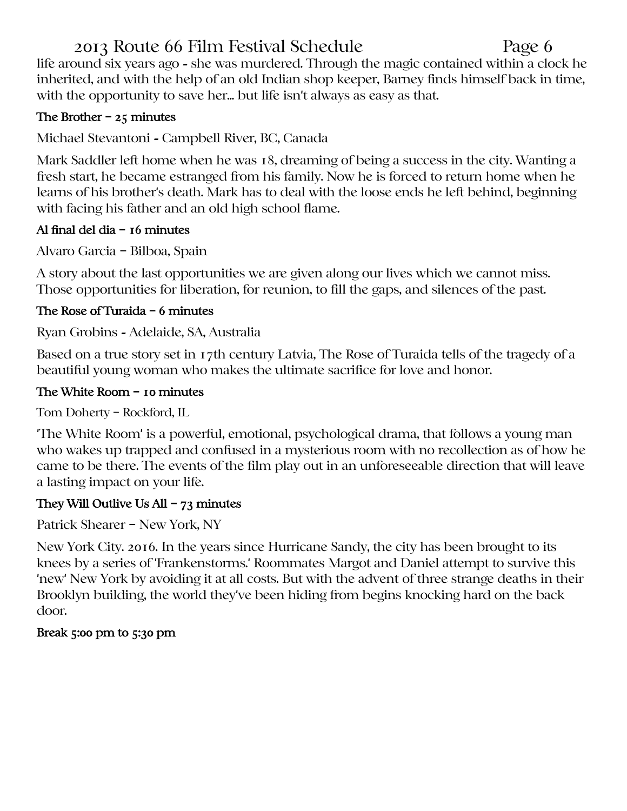# 2013 Route 66 Film Festival Schedule Page 6

life around six years ago - she was murdered. Through the magic contained within a clock he inherited, and with the help of an old Indian shop keeper, Barney finds himself back in time, with the opportunity to save her... but life isn't always as easy as that.

# The Brother  $-25$  minutes

Michael Stevantoni - Campbell River, BC, Canada

Mark Saddler left home when he was 18, dreaming of being a success in the city. Wanting a fresh start, he became estranged from his family. Now he is forced to return home when he learns of his brother's death. Mark has to deal with the loose ends he left behind, beginning with facing his father and an old high school flame.

# Al final del dia – 16 minutes

Alvaro Garcia – Bilboa, Spain

A story about the last opportunities we are given along our lives which we cannot miss. Those opportunities for liberation, for reunion, to fill the gaps, and silences of the past.

# The Rose of Turaida – 6 minutes

Ryan Grobins - Adelaide, SA, Australia

Based on a true story set in 17th century Latvia, The Rose of Turaida tells of the tragedy of a beautiful young woman who makes the ultimate sacrifice for love and honor.

## The White Room - 10 minutes

Tom Doherty – Rockford, IL

'The White Room' is a powerful, emotional, psychological drama, that follows a young man who wakes up trapped and confused in a mysterious room with no recollection as of how he came to be there. The events of the film play out in an unforeseeable direction that will leave a lasting impact on your life.

# They Will Outlive Us All – 73 minutes

Patrick Shearer – New York, NY

New York City. 2016. In the years since Hurricane Sandy, the city has been brought to its knees by a series of 'Frankenstorms.' Roommates Margot and Daniel attempt to survive this 'new' New York by avoiding it at all costs. But with the advent of three strange deaths in their Brooklyn building, the world they've been hiding from begins knocking hard on the back door.

# Break 5:00 pm to 5:30 pm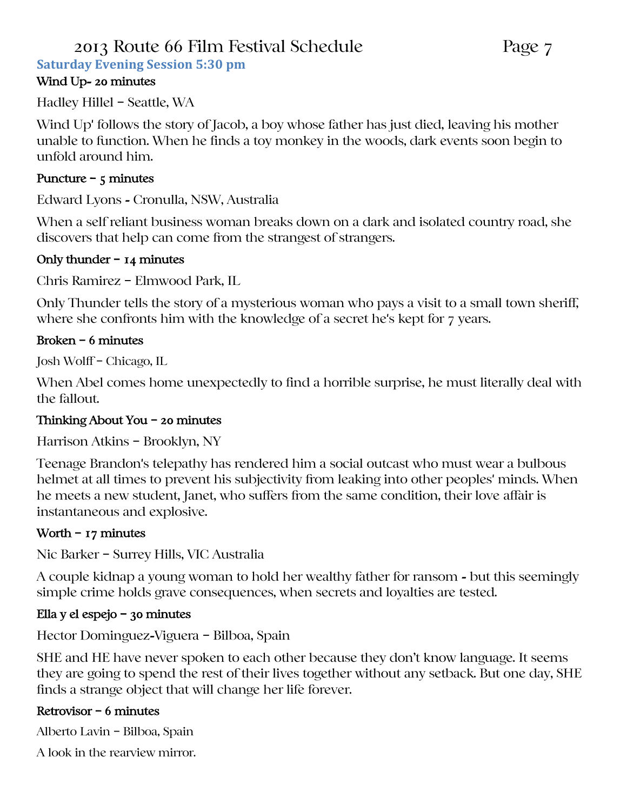# 2013 Route 66 Film Festival Schedule Page 7

**Saturday Evening Session 5:30 pm**

## Wind Up- 20 minutes

Hadley Hillel – Seattle, WA

Wind Up' follows the story of Jacob, a boy whose father has just died, leaving his mother unable to function. When he finds a toy monkey in the woods, dark events soon begin to unfold around him.

## Puncture –  $5$  minutes

Edward Lyons - Cronulla, NSW, Australia

When a self reliant business woman breaks down on a dark and isolated country road, she discovers that help can come from the strangest of strangers.

### Only thunder  $-$  14 minutes

Chris Ramirez – Elmwood Park, IL

Only Thunder tells the story of a mysterious woman who pays a visit to a small town sheriff, where she confronts him with the knowledge of a secret he's kept for 7 years.

## Broken – 6 minutes

Josh Wolff – Chicago, IL

When Abel comes home unexpectedly to find a horrible surprise, he must literally deal with the fallout.

## Thinking About You – 20 minutes

Harrison Atkins – Brooklyn, NY

Teenage Brandon's telepathy has rendered him a social outcast who must wear a bulbous helmet at all times to prevent his subjectivity from leaking into other peoples' minds. When he meets a new student, Janet, who suffers from the same condition, their love affair is instantaneous and explosive.

## Worth – 17 minutes

Nic Barker – Surrey Hills, VIC Australia

A couple kidnap a young woman to hold her wealthy father for ransom - but this seemingly simple crime holds grave consequences, when secrets and loyalties are tested.

## Ella y el espejo – 30 minutes

Hector Dominguez-Viguera – Bilboa, Spain

SHE and HE have never spoken to each other because they don't know language. It seems they are going to spend the rest of their lives together without any setback. But one day, SHE finds a strange object that will change her life forever.

## Retrovisor – 6 minutes

Alberto Lavin – Bilboa, Spain

A look in the rearview mirror.